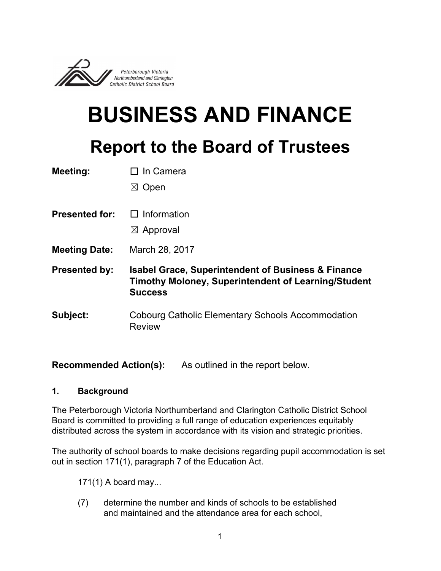

# **BUSINESS AND FINANCE Report to the Board of Trustees**

| <b>Meeting:</b> | $\Box$ In Camera |
|-----------------|------------------|
|-----------------|------------------|

☒ Open

- **Presented for:** ☐ Information
	- $\boxtimes$  Approval
- **Meeting Date:** March 28, 2017
- **Presented by: Isabel Grace, Superintendent of Business & Finance Timothy Moloney, Superintendent of Learning/Student Success**
- **Subject:** Cobourg Catholic Elementary Schools Accommodation Review

**Recommended Action(s):** As outlined in the report below.

#### **1. Background**

The Peterborough Victoria Northumberland and Clarington Catholic District School Board is committed to providing a full range of education experiences equitably distributed across the system in accordance with its vision and strategic priorities.

The authority of school boards to make decisions regarding pupil accommodation is set out in section 171(1), paragraph 7 of the Education Act.

171(1) A board may...

(7) determine the number and kinds of schools to be established and maintained and the attendance area for each school,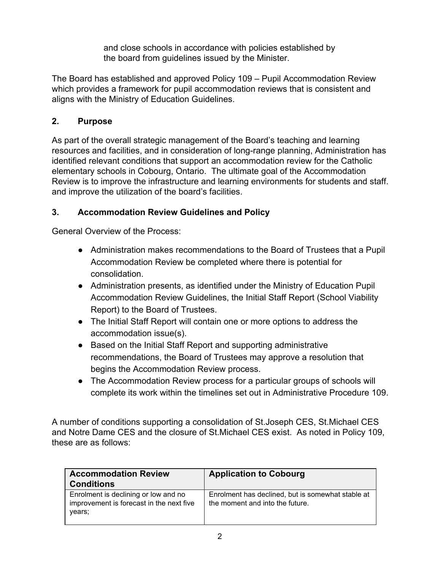and close schools in accordance with policies established by the board from guidelines issued by the Minister.

The Board has established and approved Policy 109 – Pupil Accommodation Review which provides a framework for pupil accommodation reviews that is consistent and aligns with the Ministry of Education Guidelines.

#### **2. Purpose**

As part of the overall strategic management of the Board's teaching and learning resources and facilities, and in consideration of long-range planning, Administration has identified relevant conditions that support an accommodation review for the Catholic elementary schools in Cobourg, Ontario. The ultimate goal of the Accommodation Review is to improve the infrastructure and learning environments for students and staff. and improve the utilization of the board's facilities.

## **3. Accommodation Review Guidelines and Policy**

General Overview of the Process:

- Administration makes recommendations to the Board of Trustees that a Pupil Accommodation Review be completed where there is potential for consolidation.
- Administration presents, as identified under the Ministry of Education Pupil Accommodation Review Guidelines, the Initial Staff Report (School Viability Report) to the Board of Trustees.
- The Initial Staff Report will contain one or more options to address the accommodation issue(s).
- Based on the Initial Staff Report and supporting administrative recommendations, the Board of Trustees may approve a resolution that begins the Accommodation Review process.
- The Accommodation Review process for a particular groups of schools will complete its work within the timelines set out in Administrative Procedure 109.

A number of conditions supporting a consolidation of St.Joseph CES, St.Michael CES and Notre Dame CES and the closure of St.Michael CES exist. As noted in Policy 109, these are as follows:

| <b>Accommodation Review</b><br><b>Conditions</b>                                           | <b>Application to Cobourg</b>                                                        |
|--------------------------------------------------------------------------------------------|--------------------------------------------------------------------------------------|
| Enrolment is declining or low and no<br>improvement is forecast in the next five<br>vears: | Enrolment has declined, but is somewhat stable at<br>the moment and into the future. |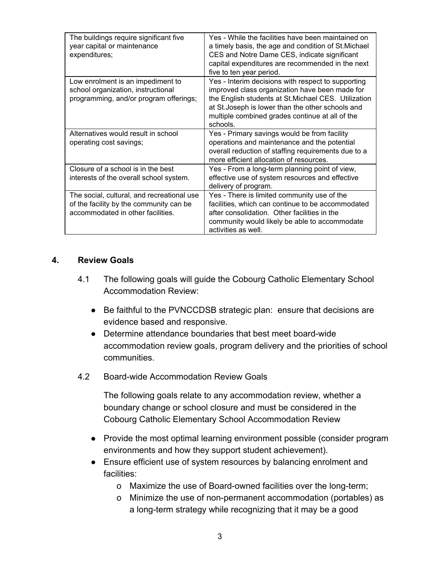| The buildings require significant five<br>year capital or maintenance<br>expenditures;                            | Yes - While the facilities have been maintained on<br>a timely basis, the age and condition of St. Michael<br>CES and Notre Dame CES, indicate significant<br>capital expenditures are recommended in the next<br>five to ten year period.                                       |
|-------------------------------------------------------------------------------------------------------------------|----------------------------------------------------------------------------------------------------------------------------------------------------------------------------------------------------------------------------------------------------------------------------------|
| Low enrolment is an impediment to<br>school organization, instructional<br>programming, and/or program offerings; | Yes - Interim decisions with respect to supporting<br>improved class organization have been made for<br>the English students at St. Michael CES. Utilization<br>at St. Joseph is lower than the other schools and<br>multiple combined grades continue at all of the<br>schools. |
| Alternatives would result in school                                                                               | Yes - Primary savings would be from facility                                                                                                                                                                                                                                     |
| operating cost savings;                                                                                           | operations and maintenance and the potential                                                                                                                                                                                                                                     |
|                                                                                                                   | overall reduction of staffing requirements due to a<br>more efficient allocation of resources.                                                                                                                                                                                   |
| Closure of a school is in the best                                                                                | Yes - From a long-term planning point of view,                                                                                                                                                                                                                                   |
| interests of the overall school system.                                                                           | effective use of system resources and effective                                                                                                                                                                                                                                  |
|                                                                                                                   | delivery of program.                                                                                                                                                                                                                                                             |
| The social, cultural, and recreational use                                                                        | Yes - There is limited community use of the                                                                                                                                                                                                                                      |
| of the facility by the community can be                                                                           | facilities, which can continue to be accommodated                                                                                                                                                                                                                                |
| accommodated in other facilities.                                                                                 | after consolidation. Other facilities in the                                                                                                                                                                                                                                     |
|                                                                                                                   | community would likely be able to accommodate<br>activities as well.                                                                                                                                                                                                             |

#### **4. Review Goals**

- 4.1 The following goals will guide the Cobourg Catholic Elementary School Accommodation Review:
	- Be faithful to the PVNCCDSB strategic plan: ensure that decisions are evidence based and responsive.
	- Determine attendance boundaries that best meet board-wide accommodation review goals, program delivery and the priorities of school communities.
- 4.2 Board-wide Accommodation Review Goals

The following goals relate to any accommodation review, whether a boundary change or school closure and must be considered in the Cobourg Catholic Elementary School Accommodation Review

- Provide the most optimal learning environment possible (consider program environments and how they support student achievement).
- Ensure efficient use of system resources by balancing enrolment and facilities:
	- o Maximize the use of Board-owned facilities over the long-term;
	- o Minimize the use of non-permanent accommodation (portables) as a long-term strategy while recognizing that it may be a good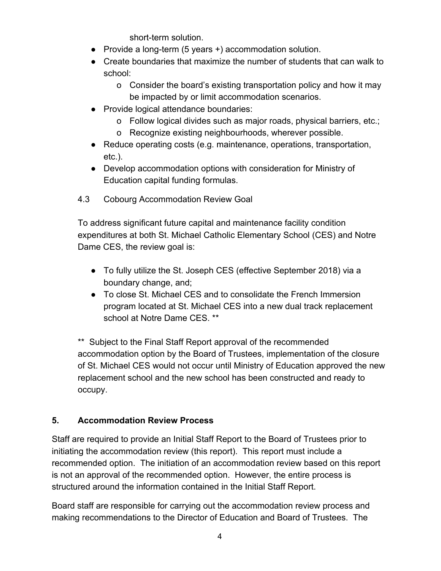short-term solution.

- Provide a long-term (5 years +) accommodation solution.
- Create boundaries that maximize the number of students that can walk to school:
	- o Consider the board's existing transportation policy and how it may be impacted by or limit accommodation scenarios.
- Provide logical attendance boundaries:
	- o Follow logical divides such as major roads, physical barriers, etc.;
	- o Recognize existing neighbourhoods, wherever possible.
- Reduce operating costs (e.g. maintenance, operations, transportation, etc.).
- Develop accommodation options with consideration for Ministry of Education capital funding formulas.
- 4.3 Cobourg Accommodation Review Goal

To address significant future capital and maintenance facility condition expenditures at both St. Michael Catholic Elementary School (CES) and Notre Dame CES, the review goal is:

- To fully utilize the St. Joseph CES (effective September 2018) via a boundary change, and;
- To close St. Michael CES and to consolidate the French Immersion program located at St. Michael CES into a new dual track replacement school at Notre Dame CES. \*\*

\*\* Subject to the Final Staff Report approval of the recommended accommodation option by the Board of Trustees, implementation of the closure of St. Michael CES would not occur until Ministry of Education approved the new replacement school and the new school has been constructed and ready to occupy.

## **5. Accommodation Review Process**

Staff are required to provide an Initial Staff Report to the Board of Trustees prior to initiating the accommodation review (this report). This report must include a recommended option. The initiation of an accommodation review based on this report is not an approval of the recommended option. However, the entire process is structured around the information contained in the Initial Staff Report.

Board staff are responsible for carrying out the accommodation review process and making recommendations to the Director of Education and Board of Trustees. The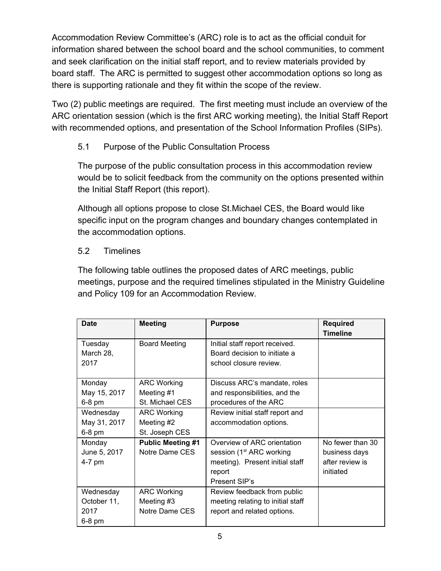Accommodation Review Committee's (ARC) role is to act as the official conduit for information shared between the school board and the school communities, to comment and seek clarification on the initial staff report, and to review materials provided by board staff. The ARC is permitted to suggest other accommodation options so long as there is supporting rationale and they fit within the scope of the review.

Two (2) public meetings are required. The first meeting must include an overview of the ARC orientation session (which is the first ARC working meeting), the Initial Staff Report with recommended options, and presentation of the School Information Profiles (SIPs).

## 5.1 Purpose of the Public Consultation Process

The purpose of the public consultation process in this accommodation review would be to solicit feedback from the community on the options presented within the Initial Staff Report (this report).

Although all options propose to close St.Michael CES, the Board would like specific input on the program changes and boundary changes contemplated in the accommodation options.

#### 5.2 Timelines

The following table outlines the proposed dates of ARC meetings, public meetings, purpose and the required timelines stipulated in the Ministry Guideline and Policy 109 for an Accommodation Review.

| <b>Date</b>  | <b>Meeting</b>           | <b>Purpose</b>                       | <b>Required</b>  |
|--------------|--------------------------|--------------------------------------|------------------|
|              |                          |                                      | <b>Timeline</b>  |
| Tuesday      | <b>Board Meeting</b>     | Initial staff report received.       |                  |
| March 28,    |                          | Board decision to initiate a         |                  |
| 2017         |                          | school closure review.               |                  |
|              |                          |                                      |                  |
| Monday       | <b>ARC Working</b>       | Discuss ARC's mandate, roles         |                  |
| May 15, 2017 | Meeting #1               | and responsibilities, and the        |                  |
| 6-8 pm       | St. Michael CES          | procedures of the ARC                |                  |
| Wednesday    | <b>ARC Working</b>       | Review initial staff report and      |                  |
| May 31, 2017 | Meeting #2               | accommodation options.               |                  |
| 6-8 pm       | St. Joseph CES           |                                      |                  |
| Monday       | <b>Public Meeting #1</b> | Overview of ARC orientation          | No fewer than 30 |
| June 5, 2017 | Notre Dame CES           | session (1 <sup>st</sup> ARC working | business days    |
| 4-7 pm       |                          | meeting). Present initial staff      | after review is  |
|              |                          | report                               | initiated        |
|              |                          | Present SIP's                        |                  |
| Wednesday    | <b>ARC Working</b>       | Review feedback from public          |                  |
| October 11,  | Meeting #3               | meeting relating to initial staff    |                  |
| 2017         | Notre Dame CES           | report and related options.          |                  |
| 6-8 pm       |                          |                                      |                  |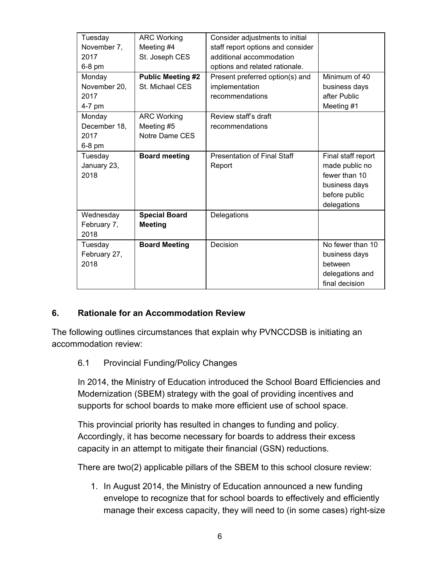| Tuesday      | <b>ARC Working</b>       | Consider adjustments to initial    |                    |
|--------------|--------------------------|------------------------------------|--------------------|
| November 7,  | Meeting #4               | staff report options and consider  |                    |
| 2017         | St. Joseph CES           | additional accommodation           |                    |
| $6-8$ pm     |                          | options and related rationale.     |                    |
| Monday       | <b>Public Meeting #2</b> | Present preferred option(s) and    | Minimum of 40      |
| November 20, | St. Michael CES          | implementation                     | business days      |
| 2017         |                          | recommendations                    | after Public       |
| 4-7 pm       |                          |                                    | Meeting #1         |
| Monday       | <b>ARC Working</b>       | Review staff's draft               |                    |
| December 18, | Meeting #5               | recommendations                    |                    |
| 2017         | Notre Dame CES           |                                    |                    |
| 6-8 pm       |                          |                                    |                    |
| Tuesday      | <b>Board meeting</b>     | <b>Presentation of Final Staff</b> | Final staff report |
| January 23,  |                          | Report                             | made public no     |
| 2018         |                          |                                    | fewer than 10      |
|              |                          |                                    | business days      |
|              |                          |                                    | before public      |
|              |                          |                                    | delegations        |
| Wednesday    | <b>Special Board</b>     | Delegations                        |                    |
| February 7,  | <b>Meeting</b>           |                                    |                    |
| 2018         |                          |                                    |                    |
| Tuesday      | <b>Board Meeting</b>     | Decision                           | No fewer than 10   |
| February 27, |                          |                                    | business days      |
| 2018         |                          |                                    | between            |
|              |                          |                                    | delegations and    |
|              |                          |                                    | final decision     |

#### **6. Rationale for an Accommodation Review**

The following outlines circumstances that explain why PVNCCDSB is initiating an accommodation review:

#### 6.1 Provincial Funding/Policy Changes

In 2014, the Ministry of Education introduced the School Board Efficiencies and Modernization (SBEM) strategy with the goal of providing incentives and supports for school boards to make more efficient use of school space.

This provincial priority has resulted in changes to funding and policy. Accordingly, it has become necessary for boards to address their excess capacity in an attempt to mitigate their financial (GSN) reductions.

There are two(2) applicable pillars of the SBEM to this school closure review:

1. In August 2014, the Ministry of Education announced a new funding envelope to recognize that for school boards to effectively and efficiently manage their excess capacity, they will need to (in some cases) right-size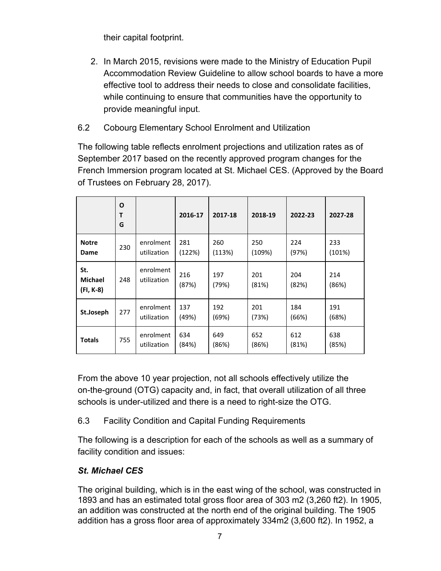their capital footprint.

- 2. In March 2015, revisions were made to the Ministry of Education Pupil Accommodation Review Guideline to allow school boards to have a more effective tool to address their needs to close and consolidate facilities, while continuing to ensure that communities have the opportunity to provide meaningful input.
- 6.2 Cobourg Elementary School Enrolment and Utilization

The following table reflects enrolment projections and utilization rates as of September 2017 based on the recently approved program changes for the French Immersion program located at St. Michael CES. (Approved by the Board of Trustees on February 28, 2017).

|                                    | O<br>т<br>G |                          | 2016-17       | 2017-18       | 2018-19       | 2022-23      | 2027-28       |
|------------------------------------|-------------|--------------------------|---------------|---------------|---------------|--------------|---------------|
| <b>Notre</b><br>Dame               | 230         | enrolment<br>utilization | 281<br>(122%) | 260<br>(113%) | 250<br>(109%) | 224<br>(97%) | 233<br>(101%) |
| St.<br><b>Michael</b><br>(FI, K-8) | 248         | enrolment<br>utilization | 216<br>(87%)  | 197<br>(79%)  | 201<br>(81%)  | 204<br>(82%) | 214<br>(86%)  |
| St.Joseph                          | 277         | enrolment<br>utilization | 137<br>(49%)  | 192<br>(69%)  | 201<br>(73%)  | 184<br>(66%) | 191<br>(68%)  |
| <b>Totals</b>                      | 755         | enrolment<br>utilization | 634<br>(84%)  | 649<br>(86%)  | 652<br>(86%)  | 612<br>(81%) | 638<br>(85%)  |

From the above 10 year projection, not all schools effectively utilize the on-the-ground (OTG) capacity and, in fact, that overall utilization of all three schools is under-utilized and there is a need to right-size the OTG.

## 6.3 Facility Condition and Capital Funding Requirements

The following is a description for each of the schools as well as a summary of facility condition and issues:

## *St. Michael CES*

The original building, which is in the east wing of the school, was constructed in 1893 and has an estimated total gross floor area of 303 m2 (3,260 ft2). In 1905, an addition was constructed at the north end of the original building. The 1905 addition has a gross floor area of approximately 334m2 (3,600 ft2). In 1952, a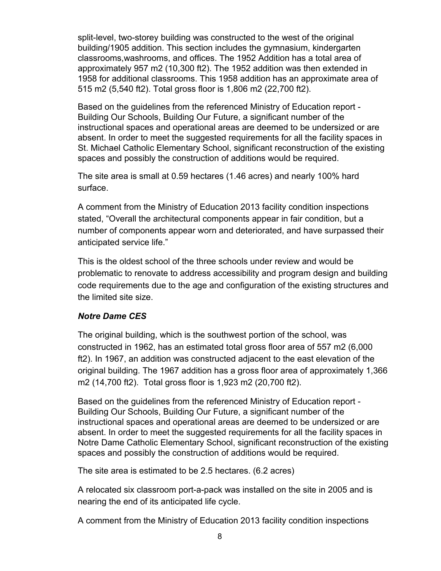split-level, two-storey building was constructed to the west of the original building/1905 addition. This section includes the gymnasium, kindergarten classrooms,washrooms, and offices. The 1952 Addition has a total area of approximately 957 m2 (10,300 ft2). The 1952 addition was then extended in 1958 for additional classrooms. This 1958 addition has an approximate area of 515 m2 (5,540 ft2). Total gross floor is 1,806 m2 (22,700 ft2).

Based on the guidelines from the referenced Ministry of Education report - Building Our Schools, Building Our Future, a significant number of the instructional spaces and operational areas are deemed to be undersized or are absent. In order to meet the suggested requirements for all the facility spaces in St. Michael Catholic Elementary School, significant reconstruction of the existing spaces and possibly the construction of additions would be required.

The site area is small at 0.59 hectares (1.46 acres) and nearly 100% hard surface.

A comment from the Ministry of Education 2013 facility condition inspections stated, "Overall the architectural components appear in fair condition, but a number of components appear worn and deteriorated, and have surpassed their anticipated service life."

This is the oldest school of the three schools under review and would be problematic to renovate to address accessibility and program design and building code requirements due to the age and configuration of the existing structures and the limited site size.

#### *Notre Dame CES*

The original building, which is the southwest portion of the school, was constructed in 1962, has an estimated total gross floor area of 557 m2 (6,000 ft2). In 1967, an addition was constructed adjacent to the east elevation of the original building. The 1967 addition has a gross floor area of approximately 1,366 m2 (14,700 ft2). Total gross floor is 1,923 m2 (20,700 ft2).

Based on the guidelines from the referenced Ministry of Education report - Building Our Schools, Building Our Future, a significant number of the instructional spaces and operational areas are deemed to be undersized or are absent. In order to meet the suggested requirements for all the facility spaces in Notre Dame Catholic Elementary School, significant reconstruction of the existing spaces and possibly the construction of additions would be required.

The site area is estimated to be 2.5 hectares. (6.2 acres)

A relocated six classroom port-a-pack was installed on the site in 2005 and is nearing the end of its anticipated life cycle.

A comment from the Ministry of Education 2013 facility condition inspections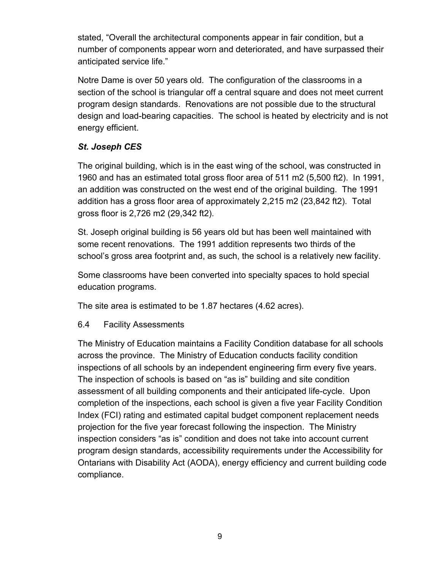stated, "Overall the architectural components appear in fair condition, but a number of components appear worn and deteriorated, and have surpassed their anticipated service life."

Notre Dame is over 50 years old. The configuration of the classrooms in a section of the school is triangular off a central square and does not meet current program design standards. Renovations are not possible due to the structural design and load-bearing capacities. The school is heated by electricity and is not energy efficient.

## *St. Joseph CES*

The original building, which is in the east wing of the school, was constructed in 1960 and has an estimated total gross floor area of 511 m2 (5,500 ft2). In 1991, an addition was constructed on the west end of the original building. The 1991 addition has a gross floor area of approximately 2,215 m2 (23,842 ft2). Total gross floor is 2,726 m2 (29,342 ft2).

St. Joseph original building is 56 years old but has been well maintained with some recent renovations. The 1991 addition represents two thirds of the school's gross area footprint and, as such, the school is a relatively new facility.

Some classrooms have been converted into specialty spaces to hold special education programs.

The site area is estimated to be 1.87 hectares (4.62 acres).

## 6.4 Facility Assessments

The Ministry of Education maintains a Facility Condition database for all schools across the province. The Ministry of Education conducts facility condition inspections of all schools by an independent engineering firm every five years. The inspection of schools is based on "as is" building and site condition assessment of all building components and their anticipated life-cycle. Upon completion of the inspections, each school is given a five year Facility Condition Index (FCI) rating and estimated capital budget component replacement needs projection for the five year forecast following the inspection. The Ministry inspection considers "as is" condition and does not take into account current program design standards, accessibility requirements under the Accessibility for Ontarians with Disability Act (AODA), energy efficiency and current building code compliance.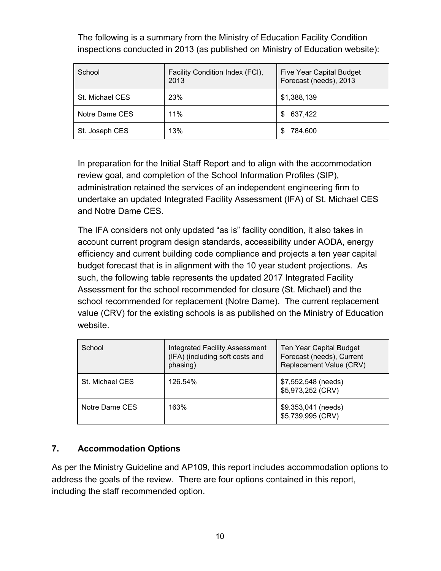The following is a summary from the Ministry of Education Facility Condition inspections conducted in 2013 (as published on Ministry of Education website):

| School          | Facility Condition Index (FCI),<br>2013 | <b>Five Year Capital Budget</b><br>Forecast (needs), 2013 |
|-----------------|-----------------------------------------|-----------------------------------------------------------|
| St. Michael CES | 23%                                     | \$1,388,139                                               |
| Notre Dame CES  | 11%                                     | 637,422<br>S                                              |
| St. Joseph CES  | 13%                                     | 784,600<br>£.                                             |

In preparation for the Initial Staff Report and to align with the accommodation review goal, and completion of the School Information Profiles (SIP), administration retained the services of an independent engineering firm to undertake an updated Integrated Facility Assessment (IFA) of St. Michael CES and Notre Dame CES.

The IFA considers not only updated "as is" facility condition, it also takes in account current program design standards, accessibility under AODA, energy efficiency and current building code compliance and projects a ten year capital budget forecast that is in alignment with the 10 year student projections. As such, the following table represents the updated 2017 Integrated Facility Assessment for the school recommended for closure (St. Michael) and the school recommended for replacement (Notre Dame). The current replacement value (CRV) for the existing schools is as published on the Ministry of Education website.

| School          | <b>Integrated Facility Assessment</b><br>(IFA) (including soft costs and<br>phasing) | Ten Year Capital Budget<br>Forecast (needs), Current<br>Replacement Value (CRV) |
|-----------------|--------------------------------------------------------------------------------------|---------------------------------------------------------------------------------|
| St. Michael CES | 126.54%                                                                              | \$7,552,548 (needs)<br>\$5,973,252 (CRV)                                        |
| Notre Dame CES  | 163%                                                                                 | \$9.353,041 (needs)<br>\$5,739,995 (CRV)                                        |

## **7. Accommodation Options**

As per the Ministry Guideline and AP109, this report includes accommodation options to address the goals of the review. There are four options contained in this report, including the staff recommended option.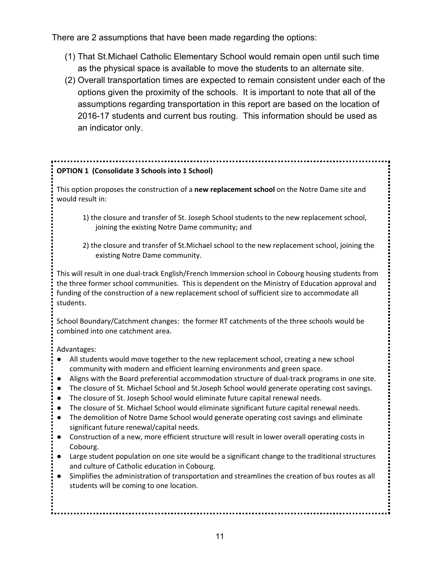There are 2 assumptions that have been made regarding the options:

- (1) That St.Michael Catholic Elementary School would remain open until such time as the physical space is available to move the students to an alternate site.
- (2) Overall transportation times are expected to remain consistent under each of the options given the proximity of the schools. It is important to note that all of the assumptions regarding transportation in this report are based on the location of 2016-17 students and current bus routing. This information should be used as an indicator only.

## **OPTION 1 (Consolidate 3 Schools into 1 School)**

This option proposes the construction of a **new replacement school** on the Notre Dame site and would result in:

- 1) the closure and transfer of St. Joseph School students to the new replacement school, joining the existing Notre Dame community; and
- 2) the closure and transfer of St.Michael school to the new replacement school, joining the existing Notre Dame community.

This will result in one dual-track English/French Immersion school in Cobourg housing students from the three former school communities. This is dependent on the Ministry of Education approval and funding of the construction of a new replacement school of sufficient size to accommodate all students.

School Boundary/Catchment changes: the former RT catchments of the three schools would be combined into one catchment area.

Advantages:

- All students would move together to the new replacement school, creating a new school community with modern and efficient learning environments and green space.
- Aligns with the Board preferential accommodation structure of dual-track programs in one site.
- The closure of St. Michael School and St.Joseph School would generate operating cost savings.
- The closure of St. Joseph School would eliminate future capital renewal needs.
- The closure of St. Michael School would eliminate significant future capital renewal needs.
- The demolition of Notre Dame School would generate operating cost savings and eliminate significant future renewal/capital needs.
- Construction of a new, more efficient structure will result in lower overall operating costs in Cobourg.
- Large student population on one site would be a significant change to the traditional structures and culture of Catholic education in Cobourg.
- Simplifies the administration of transportation and streamlines the creation of bus routes as all students will be coming to one location.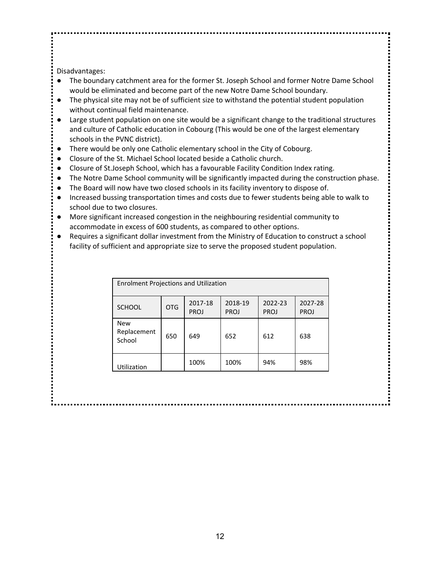Disadvantages:

- The boundary catchment area for the former St. Joseph School and former Notre Dame School would be eliminated and become part of the new Notre Dame School boundary.
- The physical site may not be of sufficient size to withstand the potential student population without continual field maintenance.
- Large student population on one site would be a significant change to the traditional structures and culture of Catholic education in Cobourg (This would be one of the largest elementary schools in the PVNC district).
- There would be only one Catholic elementary school in the City of Cobourg.
- Closure of the St. Michael School located beside a Catholic church.
- Closure of St.Joseph School, which has a favourable Facility Condition Index rating.
- The Notre Dame School community will be significantly impacted during the construction phase.
- The Board will now have two closed schools in its facility inventory to dispose of.
- Increased bussing transportation times and costs due to fewer students being able to walk to school due to two closures.
- More significant increased congestion in the neighbouring residential community to accommodate in excess of 600 students, as compared to other options.
- Requires a significant dollar investment from the Ministry of Education to construct a school facility of sufficient and appropriate size to serve the proposed student population.

| <b>Enrolment Projections and Utilization</b> |            |                        |                        |                        |                        |
|----------------------------------------------|------------|------------------------|------------------------|------------------------|------------------------|
| <b>SCHOOL</b>                                | <b>OTG</b> | 2017-18<br><b>PROJ</b> | 2018-19<br><b>PROJ</b> | 2022-23<br><b>PROJ</b> | 2027-28<br><b>PROJ</b> |
| <b>New</b><br>Replacement<br>School          | 650        | 649                    | 652                    | 612                    | 638                    |
| Utilization                                  |            | 100%                   | 100%                   | 94%                    | 98%                    |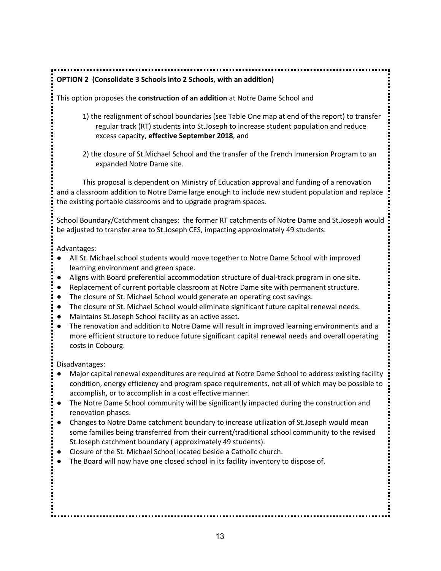**OPTION 2 (Consolidate 3 Schools into 2 Schools, with an addition)**

This option proposes the **construction of an addition** at Notre Dame School and

- 1) the realignment of school boundaries (see Table One map at end of the report) to transfer regular track (RT) students into St.Joseph to increase student population and reduce excess capacity, **effective September 2018**, and
- 2) the closure of St.Michael School and the transfer of the French Immersion Program to an expanded Notre Dame site.

This proposal is dependent on Ministry of Education approval and funding of a renovation and a classroom addition to Notre Dame large enough to include new student population and replace the existing portable classrooms and to upgrade program spaces.

School Boundary/Catchment changes: the former RT catchments of Notre Dame and St.Joseph would be adjusted to transfer area to St.Joseph CES, impacting approximately 49 students.

Advantages:

- All St. Michael school students would move together to Notre Dame School with improved learning environment and green space.
- Aligns with Board preferential accommodation structure of dual-track program in one site.
- Replacement of current portable classroom at Notre Dame site with permanent structure.
- The closure of St. Michael School would generate an operating cost savings.
- The closure of St. Michael School would eliminate significant future capital renewal needs.
- Maintains St.Joseph School facility as an active asset.
- The renovation and addition to Notre Dame will result in improved learning environments and a more efficient structure to reduce future significant capital renewal needs and overall operating costs in Cobourg.

Disadvantages:

- Major capital renewal expenditures are required at Notre Dame School to address existing facility condition, energy efficiency and program space requirements, not all of which may be possible to accomplish, or to accomplish in a cost effective manner.
- The Notre Dame School community will be significantly impacted during the construction and renovation phases.
- Changes to Notre Dame catchment boundary to increase utilization of St.Joseph would mean some families being transferred from their current/traditional school community to the revised St.Joseph catchment boundary ( approximately 49 students).
- Closure of the St. Michael School located beside a Catholic church.
- The Board will now have one closed school in its facility inventory to dispose of.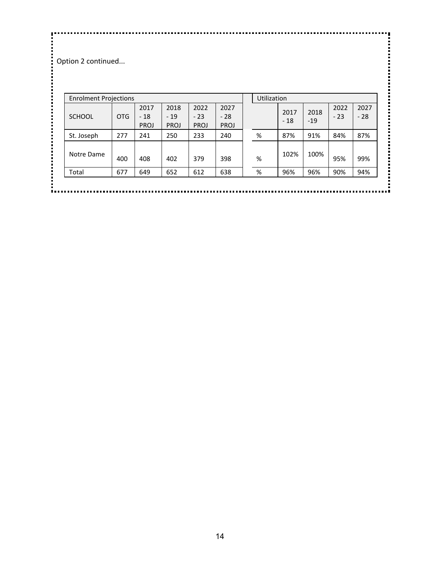**CONTENSIST**<br>Coption 2 continued...

| <b>Enrolment Projections</b> |            |                       |                              |                       |                              | Utilization |               |               |               |               |
|------------------------------|------------|-----------------------|------------------------------|-----------------------|------------------------------|-------------|---------------|---------------|---------------|---------------|
| <b>SCHOOL</b>                | <b>OTG</b> | 2017<br>$-18$<br>PROJ | 2018<br>$-19$<br><b>PROJ</b> | 2022<br>$-23$<br>PROJ | 2027<br>$-28$<br><b>PROJ</b> |             | 2017<br>$-18$ | 2018<br>$-19$ | 2022<br>$-23$ | 2027<br>$-28$ |
| St. Joseph                   | 277        | 241                   | 250                          | 233                   | 240                          | %           | 87%           | 91%           | 84%           | 87%           |
| Notre Dame                   | 400        | 408                   | 402                          | 379                   | 398                          | %           | 102%          | 100%          | 95%           | 99%           |
| Total                        | 677        | 649                   | 652                          | 612                   | 638                          | %           | 96%           | 96%           | 90%           | 94%           |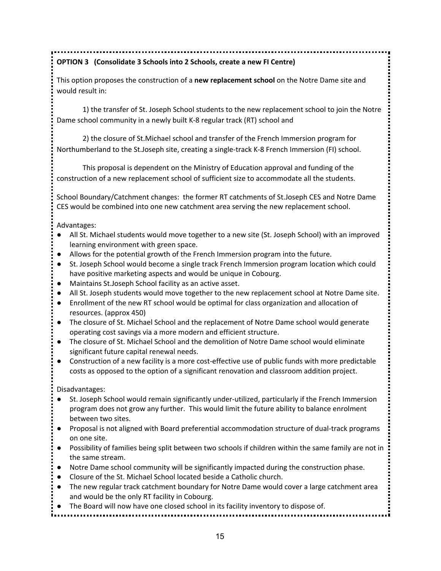## **OPTION 3 (Consolidate 3 Schools into 2 Schools, create a new FI Centre)**

This option proposes the construction of a **new replacement school** on the Notre Dame site and would result in:

1) the transfer of St. Joseph School students to the new replacement school to join the Notre Dame school community in a newly built K-8 regular track (RT) school and

2) the closure of St.Michael school and transfer of the French Immersion program for Northumberland to the St.Joseph site, creating a single-track K-8 French Immersion (FI) school.

This proposal is dependent on the Ministry of Education approval and funding of the construction of a new replacement school of sufficient size to accommodate all the students.

School Boundary/Catchment changes: the former RT catchments of St.Joseph CES and Notre Dame CES would be combined into one new catchment area serving the new replacement school.

Advantages:

- All St. Michael students would move together to a new site (St. Joseph School) with an improved learning environment with green space.
- Allows for the potential growth of the French Immersion program into the future.
- St. Joseph School would become a single track French Immersion program location which could have positive marketing aspects and would be unique in Cobourg.
- Maintains St.Joseph School facility as an active asset.
- All St. Joseph students would move together to the new replacement school at Notre Dame site.
- Enrollment of the new RT school would be optimal for class organization and allocation of resources. (approx 450)
- The closure of St. Michael School and the replacement of Notre Dame school would generate operating cost savings via a more modern and efficient structure.
- The closure of St. Michael School and the demolition of Notre Dame school would eliminate significant future capital renewal needs.
- Construction of a new facility is a more cost-effective use of public funds with more predictable costs as opposed to the option of a significant renovation and classroom addition project.

Disadvantages:

- St. Joseph School would remain significantly under-utilized, particularly if the French Immersion program does not grow any further. This would limit the future ability to balance enrolment between two sites.
- Proposal is not aligned with Board preferential accommodation structure of dual-track programs on one site.
- Possibility of families being split between two schools if children within the same family are not in the same stream.
- Notre Dame school community will be significantly impacted during the construction phase.
- Closure of the St. Michael School located beside a Catholic church.
- The new regular track catchment boundary for Notre Dame would cover a large catchment area and would be the only RT facility in Cobourg.
- The Board will now have one closed school in its facility inventory to dispose of.
	- 15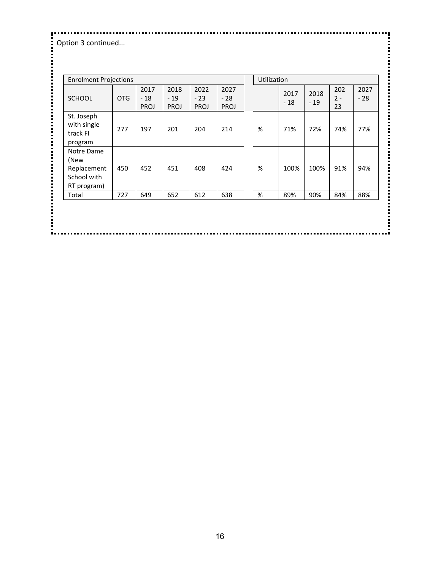Option 3 continued...

| <b>Enrolment Projections</b>                                    |            |                       |                       |                       |                       | Utilization |               |               |                    |               |
|-----------------------------------------------------------------|------------|-----------------------|-----------------------|-----------------------|-----------------------|-------------|---------------|---------------|--------------------|---------------|
| <b>SCHOOL</b>                                                   | <b>OTG</b> | 2017<br>$-18$<br>PROJ | 2018<br>$-19$<br>PROJ | 2022<br>$-23$<br>PROJ | 2027<br>$-28$<br>PROJ |             | 2017<br>$-18$ | 2018<br>$-19$ | 202<br>$2 -$<br>23 | 2027<br>$-28$ |
| St. Joseph<br>with single<br>track FI<br>program                | 277        | 197                   | 201                   | 204                   | 214                   | $\%$        | 71%           | 72%           | 74%                | 77%           |
| Notre Dame<br>(New<br>Replacement<br>School with<br>RT program) | 450        | 452                   | 451                   | 408                   | 424                   | $\%$        | 100%          | 100%          | 91%                | 94%           |
| Total                                                           | 727        | 649                   | 652                   | 612                   | 638                   | $\%$        | 89%           | 90%           | 84%                | 88%           |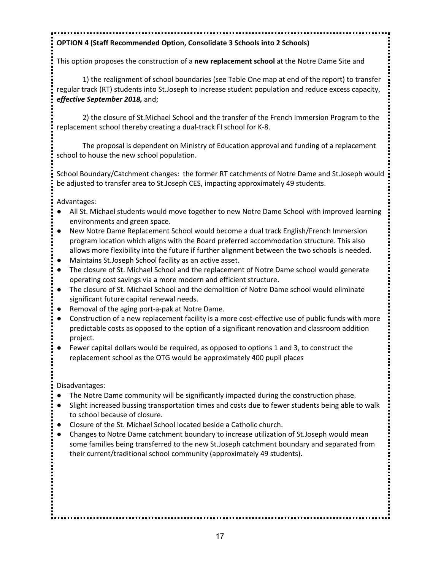# **OPTION 4 (Staff Recommended Option, Consolidate 3 Schools into 2 Schools)**

This option proposes the construction of a **new replacement school** at the Notre Dame Site and

1) the realignment of school boundaries (see Table One map at end of the report) to transfer regular track (RT) students into St.Joseph to increase student population and reduce excess capacity, *effective September 2018,* and;

2) the closure of St.Michael School and the transfer of the French Immersion Program to the replacement school thereby creating a dual-track FI school for K-8.

The proposal is dependent on Ministry of Education approval and funding of a replacement school to house the new school population.

School Boundary/Catchment changes: the former RT catchments of Notre Dame and St.Joseph would be adjusted to transfer area to St.Joseph CES, impacting approximately 49 students.

Advantages:

- All St. Michael students would move together to new Notre Dame School with improved learning environments and green space.
- New Notre Dame Replacement School would become a dual track English/French Immersion program location which aligns with the Board preferred accommodation structure. This also allows more flexibility into the future if further alignment between the two schools is needed.
- Maintains St.Joseph School facility as an active asset.
- The closure of St. Michael School and the replacement of Notre Dame school would generate operating cost savings via a more modern and efficient structure.
- The closure of St. Michael School and the demolition of Notre Dame school would eliminate significant future capital renewal needs.
- Removal of the aging port-a-pak at Notre Dame.
- Construction of a new replacement facility is a more cost-effective use of public funds with more predictable costs as opposed to the option of a significant renovation and classroom addition project.
- Fewer capital dollars would be required, as opposed to options 1 and 3, to construct the replacement school as the OTG would be approximately 400 pupil places

Disadvantages:

- The Notre Dame community will be significantly impacted during the construction phase.
- Slight increased bussing transportation times and costs due to fewer students being able to walk to school because of closure.
- Closure of the St. Michael School located beside a Catholic church.
- Changes to Notre Dame catchment boundary to increase utilization of St.Joseph would mean some families being transferred to the new St.Joseph catchment boundary and separated from their current/traditional school community (approximately 49 students).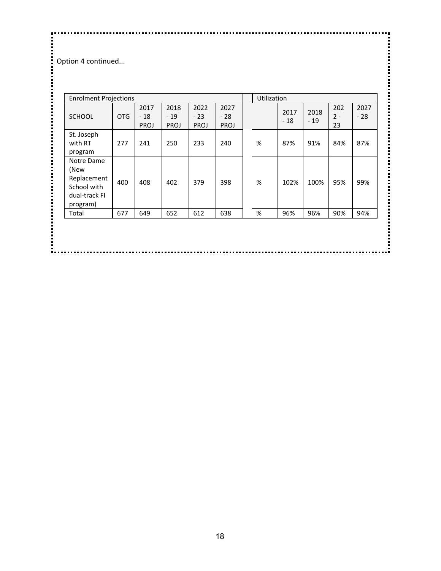**:**<br>• Option 4 continued...

| <b>Enrolment Projections</b>                                                  |            |                       |                       |                       |                       | Utilization |               |               |                    |               |
|-------------------------------------------------------------------------------|------------|-----------------------|-----------------------|-----------------------|-----------------------|-------------|---------------|---------------|--------------------|---------------|
| <b>SCHOOL</b>                                                                 | <b>OTG</b> | 2017<br>$-18$<br>PROJ | 2018<br>$-19$<br>PROJ | 2022<br>$-23$<br>PROJ | 2027<br>$-28$<br>PROJ |             | 2017<br>$-18$ | 2018<br>$-19$ | 202<br>$2 -$<br>23 | 2027<br>$-28$ |
| St. Joseph<br>with RT<br>program                                              | 277        | 241                   | 250                   | 233                   | 240                   | %           | 87%           | 91%           | 84%                | 87%           |
| Notre Dame<br>(New<br>Replacement<br>School with<br>dual-track FI<br>program) | 400        | 408                   | 402                   | 379                   | 398                   | %           | 102%          | 100%          | 95%                | 99%           |
| Total                                                                         | 677        | 649                   | 652                   | 612                   | 638                   | %           | 96%           | 96%           | 90%                | 94%           |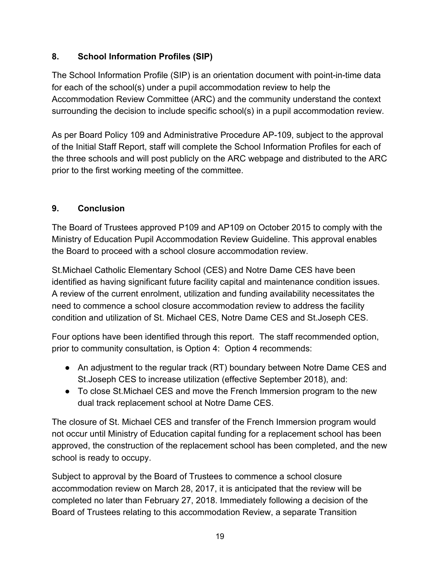## **8. School Information Profiles (SIP)**

The School Information Profile (SIP) is an orientation document with point-in-time data for each of the school(s) under a pupil accommodation review to help the Accommodation Review Committee (ARC) and the community understand the context surrounding the decision to include specific school(s) in a pupil accommodation review.

As per Board Policy 109 and Administrative Procedure AP-109, subject to the approval of the Initial Staff Report, staff will complete the School Information Profiles for each of the three schools and will post publicly on the ARC webpage and distributed to the ARC prior to the first working meeting of the committee.

## **9. Conclusion**

The Board of Trustees approved P109 and AP109 on October 2015 to comply with the Ministry of Education Pupil Accommodation Review Guideline. This approval enables the Board to proceed with a school closure accommodation review.

St.Michael Catholic Elementary School (CES) and Notre Dame CES have been identified as having significant future facility capital and maintenance condition issues. A review of the current enrolment, utilization and funding availability necessitates the need to commence a school closure accommodation review to address the facility condition and utilization of St. Michael CES, Notre Dame CES and St.Joseph CES.

Four options have been identified through this report. The staff recommended option, prior to community consultation, is Option 4: Option 4 recommends:

- An adjustment to the regular track (RT) boundary between Notre Dame CES and St.Joseph CES to increase utilization (effective September 2018), and:
- To close St.Michael CES and move the French Immersion program to the new dual track replacement school at Notre Dame CES.

The closure of St. Michael CES and transfer of the French Immersion program would not occur until Ministry of Education capital funding for a replacement school has been approved, the construction of the replacement school has been completed, and the new school is ready to occupy.

Subject to approval by the Board of Trustees to commence a school closure accommodation review on March 28, 2017, it is anticipated that the review will be completed no later than February 27, 2018. Immediately following a decision of the Board of Trustees relating to this accommodation Review, a separate Transition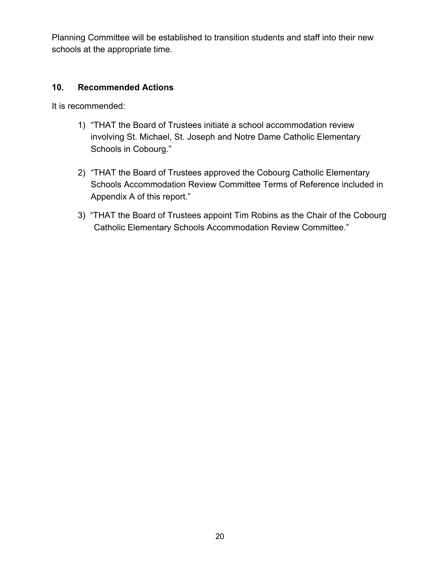Planning Committee will be established to transition students and staff into their new schools at the appropriate time.

#### **10. Recommended Actions**

It is recommended:

- 1) "THAT the Board of Trustees initiate a school accommodation review involving St. Michael, St. Joseph and Notre Dame Catholic Elementary Schools in Cobourg."
- 2) "THAT the Board of Trustees approved the Cobourg Catholic Elementary Schools Accommodation Review Committee Terms of Reference included in Appendix A of this report."
- 3) "THAT the Board of Trustees appoint Tim Robins as the Chair of the Cobourg Catholic Elementary Schools Accommodation Review Committee."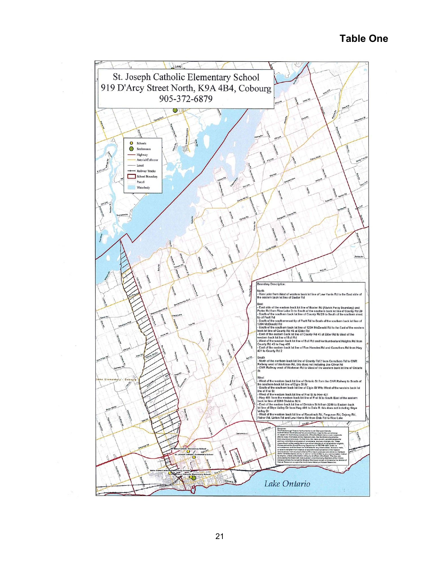## **Table One**

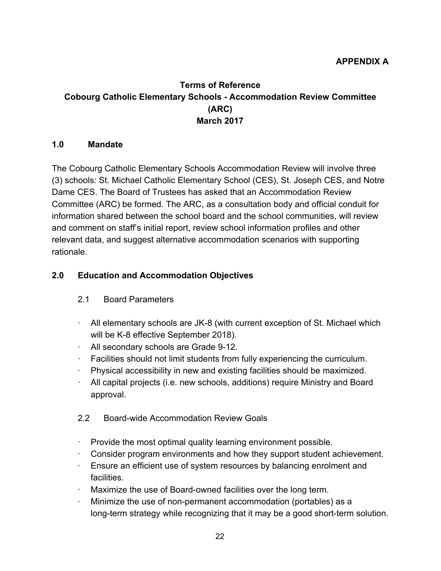## **Terms of Reference Cobourg Catholic Elementary Schools - Accommodation Review Committee (ARC) March 2017**

#### **1.0 Mandate**

The Cobourg Catholic Elementary Schools Accommodation Review will involve three (3) schools: St. Michael Catholic Elementary School (CES), St. Joseph CES, and Notre Dame CES. The Board of Trustees has asked that an Accommodation Review Committee (ARC) be formed. The ARC, as a consultation body and official conduit for information shared between the school board and the school communities, will review and comment on staff's initial report, review school information profiles and other relevant data, and suggest alternative accommodation scenarios with supporting rationale.

## **2.0 Education and Accommodation Objectives**

## 2.1 Board Parameters

- $\cdot$  All elementary schools are JK-8 (with current exception of St. Michael which will be K-8 effective September 2018).
- · All secondary schools are Grade 9-12.
- · Facilities should not limit students from fully experiencing the curriculum.
- · Physical accessibility in new and existing facilities should be maximized.
- · All capital projects (i.e. new schools, additions) require Ministry and Board approval.

#### 2.2 Board-wide Accommodation Review Goals

- · Provide the most optimal quality learning environment possible.
- · Consider program environments and how they support student achievement.
- · Ensure an efficient use of system resources by balancing enrolment and facilities.
- Maximize the use of Board-owned facilities over the long term.
- · Minimize the use of non-permanent accommodation (portables) as a long-term strategy while recognizing that it may be a good short-term solution.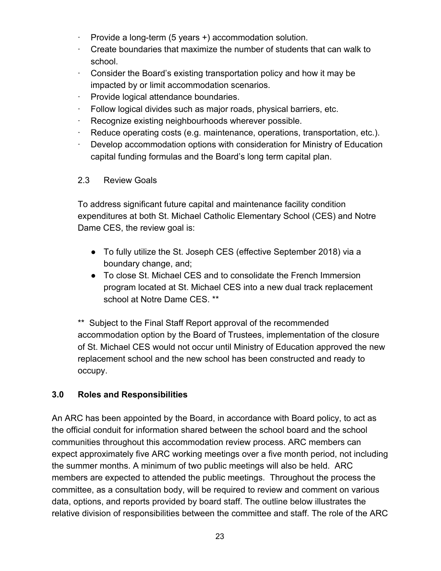- Provide a long-term (5 years +) accommodation solution.
- · Create boundaries that maximize the number of students that can walk to school.
- $\cdot$  Consider the Board's existing transportation policy and how it may be impacted by or limit accommodation scenarios.
- · Provide logical attendance boundaries.
- · Follow logical divides such as major roads, physical barriers, etc.
- Recognize existing neighbourhoods wherever possible.
- · Reduce operating costs (e.g. maintenance, operations, transportation, etc.).
- Develop accommodation options with consideration for Ministry of Education capital funding formulas and the Board's long term capital plan.

## 2.3 Review Goals

To address significant future capital and maintenance facility condition expenditures at both St. Michael Catholic Elementary School (CES) and Notre Dame CES, the review goal is:

- To fully utilize the St. Joseph CES (effective September 2018) via a boundary change, and;
- To close St. Michael CES and to consolidate the French Immersion program located at St. Michael CES into a new dual track replacement school at Notre Dame CES. \*\*

\*\* Subject to the Final Staff Report approval of the recommended accommodation option by the Board of Trustees, implementation of the closure of St. Michael CES would not occur until Ministry of Education approved the new replacement school and the new school has been constructed and ready to occupy.

## **3.0 Roles and Responsibilities**

An ARC has been appointed by the Board, in accordance with Board policy, to act as the official conduit for information shared between the school board and the school communities throughout this accommodation review process. ARC members can expect approximately five ARC working meetings over a five month period, not including the summer months. A minimum of two public meetings will also be held. ARC members are expected to attended the public meetings. Throughout the process the committee, as a consultation body, will be required to review and comment on various data, options, and reports provided by board staff. The outline below illustrates the relative division of responsibilities between the committee and staff. The role of the ARC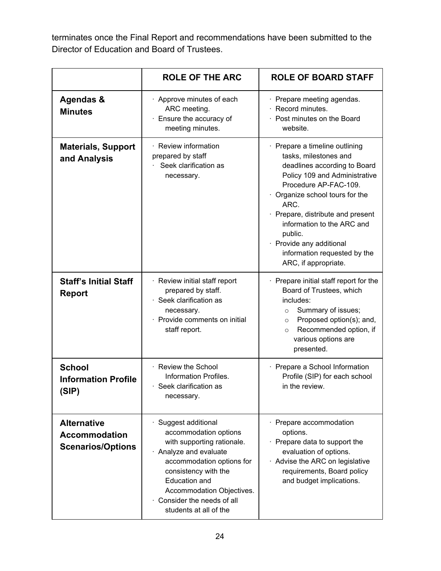terminates once the Final Report and recommendations have been submitted to the Director of Education and Board of Trustees.

|                                                                        | <b>ROLE OF THE ARC</b>                                                                                                                                                                                                                                                 | <b>ROLE OF BOARD STAFF</b>                                                                                                                                                                                                                                                                                                                                 |
|------------------------------------------------------------------------|------------------------------------------------------------------------------------------------------------------------------------------------------------------------------------------------------------------------------------------------------------------------|------------------------------------------------------------------------------------------------------------------------------------------------------------------------------------------------------------------------------------------------------------------------------------------------------------------------------------------------------------|
| Agendas &<br><b>Minutes</b>                                            | $\cdot$ Approve minutes of each<br>ARC meeting.<br>· Ensure the accuracy of<br>meeting minutes.                                                                                                                                                                        | Prepare meeting agendas.<br>Record minutes.<br>Post minutes on the Board<br>website.                                                                                                                                                                                                                                                                       |
| <b>Materials, Support</b><br>and Analysis                              | · Review information<br>prepared by staff<br>Seek clarification as<br>necessary.                                                                                                                                                                                       | · Prepare a timeline outlining<br>tasks, milestones and<br>deadlines according to Board<br>Policy 109 and Administrative<br>Procedure AP-FAC-109.<br>Organize school tours for the<br>ARC.<br>Prepare, distribute and present<br>information to the ARC and<br>public.<br>· Provide any additional<br>information requested by the<br>ARC, if appropriate. |
| <b>Staff's Initial Staff</b><br><b>Report</b>                          | · Review initial staff report<br>prepared by staff.<br>Seek clarification as<br>necessary.<br>· Provide comments on initial<br>staff report.                                                                                                                           | Prepare initial staff report for the<br>Board of Trustees, which<br>includes:<br>Summary of issues;<br>$\circ$<br>Proposed option(s); and,<br>$\circ$<br>Recommended option, if<br>$\circ$<br>various options are<br>presented.                                                                                                                            |
| <b>School</b><br><b>Information Profile</b><br>(SIP)                   | · Review the School<br>Information Profiles.<br>· Seek clarification as<br>necessary.                                                                                                                                                                                  | Prepare a School Information<br>Profile (SIP) for each school<br>in the review.                                                                                                                                                                                                                                                                            |
| <b>Alternative</b><br><b>Accommodation</b><br><b>Scenarios/Options</b> | · Suggest additional<br>accommodation options<br>with supporting rationale.<br>· Analyze and evaluate<br>accommodation options for<br>consistency with the<br><b>Education and</b><br>Accommodation Objectives.<br>Consider the needs of all<br>students at all of the | Prepare accommodation<br>options.<br>Prepare data to support the<br>evaluation of options.<br>Advise the ARC on legislative<br>requirements, Board policy<br>and budget implications.                                                                                                                                                                      |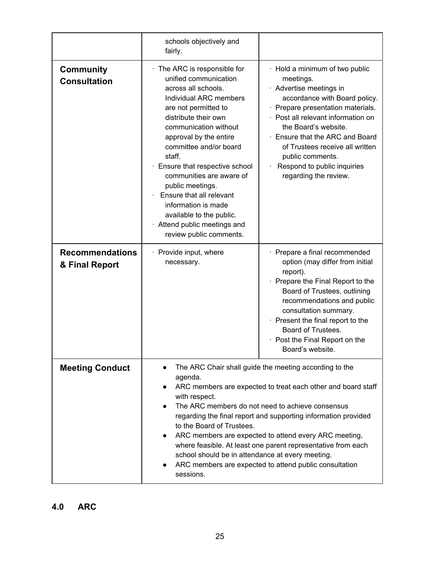|                                          | schools objectively and<br>fairly.                                                                                                                                                                                                                                                                                                                                                                                                                                                                                                                                     |                                                                                                                                                                                                                                                                                                                                                          |
|------------------------------------------|------------------------------------------------------------------------------------------------------------------------------------------------------------------------------------------------------------------------------------------------------------------------------------------------------------------------------------------------------------------------------------------------------------------------------------------------------------------------------------------------------------------------------------------------------------------------|----------------------------------------------------------------------------------------------------------------------------------------------------------------------------------------------------------------------------------------------------------------------------------------------------------------------------------------------------------|
| <b>Community</b><br><b>Consultation</b>  | $\cdot$ The ARC is responsible for<br>unified communication<br>across all schools.<br>Individual ARC members<br>are not permitted to<br>distribute their own<br>communication without<br>approval by the entire<br>committee and/or board<br>staff.<br>· Ensure that respective school<br>communities are aware of<br>public meetings.<br>Ensure that all relevant<br>information is made<br>available to the public.<br>· Attend public meetings and<br>review public comments.                                                                                       | · Hold a minimum of two public<br>meetings.<br>· Advertise meetings in<br>accordance with Board policy.<br>Prepare presentation materials.<br>Post all relevant information on<br>the Board's website.<br>· Ensure that the ARC and Board<br>of Trustees receive all written<br>public comments.<br>Respond to public inquiries<br>regarding the review. |
| <b>Recommendations</b><br>& Final Report | $\cdot$ Provide input, where<br>necessary.                                                                                                                                                                                                                                                                                                                                                                                                                                                                                                                             | $\cdot$ Prepare a final recommended<br>option (may differ from initial<br>report).<br>Prepare the Final Report to the<br>Board of Trustees, outlining<br>recommendations and public<br>consultation summary.<br>$\cdot$ Present the final report to the<br>Board of Trustees.<br>Post the Final Report on the<br>۰<br>Board's website.                   |
| <b>Meeting Conduct</b>                   | The ARC Chair shall guide the meeting according to the<br>agenda.<br>ARC members are expected to treat each other and board staff<br>with respect.<br>The ARC members do not need to achieve consensus<br>regarding the final report and supporting information provided<br>to the Board of Trustees.<br>ARC members are expected to attend every ARC meeting,<br>$\bullet$<br>where feasible. At least one parent representative from each<br>school should be in attendance at every meeting.<br>ARC members are expected to attend public consultation<br>sessions. |                                                                                                                                                                                                                                                                                                                                                          |

# **4.0 ARC**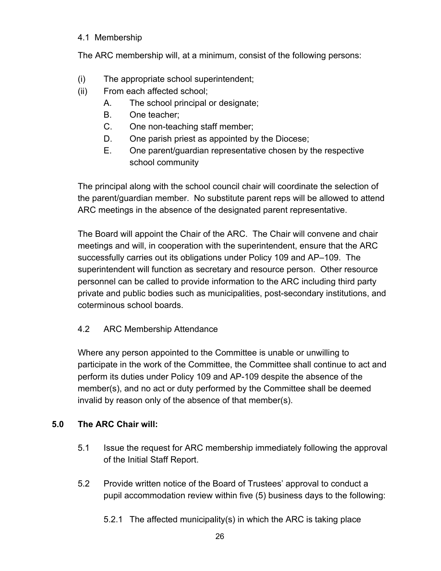#### 4.1 Membership

The ARC membership will, at a minimum, consist of the following persons:

- (i) The appropriate school superintendent;
- (ii) From each affected school;
	- A. The school principal or designate;
	- B. One teacher;
	- C. One non-teaching staff member;
	- D. One parish priest as appointed by the Diocese;
	- E. One parent/guardian representative chosen by the respective school community

The principal along with the school council chair will coordinate the selection of the parent/guardian member. No substitute parent reps will be allowed to attend ARC meetings in the absence of the designated parent representative.

The Board will appoint the Chair of the ARC. The Chair will convene and chair meetings and will, in cooperation with the superintendent, ensure that the ARC successfully carries out its obligations under Policy 109 and AP–109. The superintendent will function as secretary and resource person. Other resource personnel can be called to provide information to the ARC including third party private and public bodies such as municipalities, post-secondary institutions, and coterminous school boards.

4.2 ARC Membership Attendance

Where any person appointed to the Committee is unable or unwilling to participate in the work of the Committee, the Committee shall continue to act and perform its duties under Policy 109 and AP-109 despite the absence of the member(s), and no act or duty performed by the Committee shall be deemed invalid by reason only of the absence of that member(s).

## **5.0 The ARC Chair will:**

- 5.1 Issue the request for ARC membership immediately following the approval of the Initial Staff Report.
- 5.2 Provide written notice of the Board of Trustees' approval to conduct a pupil accommodation review within five (5) business days to the following:
	- 5.2.1 The affected municipality(s) in which the ARC is taking place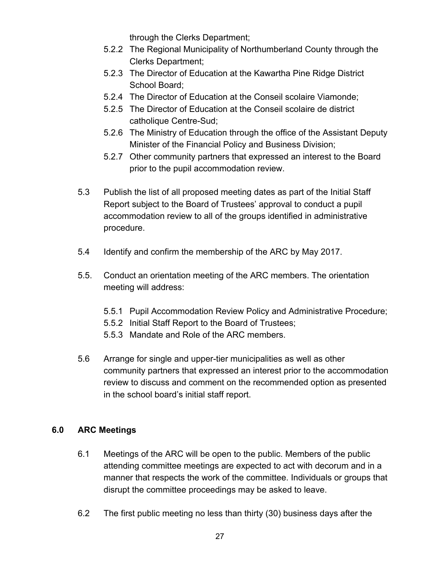through the Clerks Department;

- 5.2.2 The Regional Municipality of Northumberland County through the Clerks Department;
- 5.2.3 The Director of Education at the Kawartha Pine Ridge District School Board;
- 5.2.4 The Director of Education at the Conseil scolaire Viamonde;
- 5.2.5 The Director of Education at the Conseil scolaire de district catholique Centre-Sud;
- 5.2.6 The Ministry of Education through the office of the Assistant Deputy Minister of the Financial Policy and Business Division;
- 5.2.7 Other community partners that expressed an interest to the Board prior to the pupil accommodation review.
- 5.3 Publish the list of all proposed meeting dates as part of the Initial Staff Report subject to the Board of Trustees' approval to conduct a pupil accommodation review to all of the groups identified in administrative procedure.
- 5.4 Identify and confirm the membership of the ARC by May 2017.
- 5.5. Conduct an orientation meeting of the ARC members. The orientation meeting will address:
	- 5.5.1 Pupil Accommodation Review Policy and Administrative Procedure;
	- 5.5.2 Initial Staff Report to the Board of Trustees;
	- 5.5.3 Mandate and Role of the ARC members.
- 5.6 Arrange for single and upper-tier municipalities as well as other community partners that expressed an interest prior to the accommodation review to discuss and comment on the recommended option as presented in the school board's initial staff report.

## **6.0 ARC Meetings**

- 6.1 Meetings of the ARC will be open to the public. Members of the public attending committee meetings are expected to act with decorum and in a manner that respects the work of the committee. Individuals or groups that disrupt the committee proceedings may be asked to leave.
- 6.2 The first public meeting no less than thirty (30) business days after the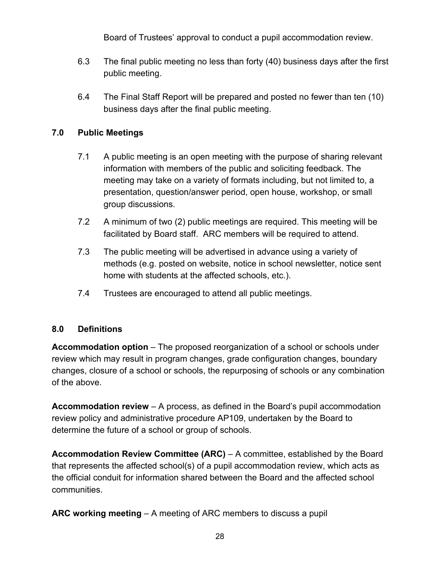Board of Trustees' approval to conduct a pupil accommodation review.

- 6.3 The final public meeting no less than forty (40) business days after the first public meeting.
- 6.4 The Final Staff Report will be prepared and posted no fewer than ten (10) business days after the final public meeting.

## **7.0 Public Meetings**

- 7.1 A public meeting is an open meeting with the purpose of sharing relevant information with members of the public and soliciting feedback. The meeting may take on a variety of formats including, but not limited to, a presentation, question/answer period, open house, workshop, or small group discussions.
- 7.2 A minimum of two (2) public meetings are required. This meeting will be facilitated by Board staff. ARC members will be required to attend.
- 7.3 The public meeting will be advertised in advance using a variety of methods (e.g. posted on website, notice in school newsletter, notice sent home with students at the affected schools, etc.).
- 7.4 Trustees are encouraged to attend all public meetings.

## **8.0 Definitions**

**Accommodation option** – The proposed reorganization of a school or schools under review which may result in program changes, grade configuration changes, boundary changes, closure of a school or schools, the repurposing of schools or any combination of the above.

**Accommodation review** – A process, as defined in the Board's pupil accommodation review policy and administrative procedure AP109, undertaken by the Board to determine the future of a school or group of schools.

**Accommodation Review Committee (ARC)** – A committee, established by the Board that represents the affected school(s) of a pupil accommodation review, which acts as the official conduit for information shared between the Board and the affected school communities.

**ARC working meeting** – A meeting of ARC members to discuss a pupil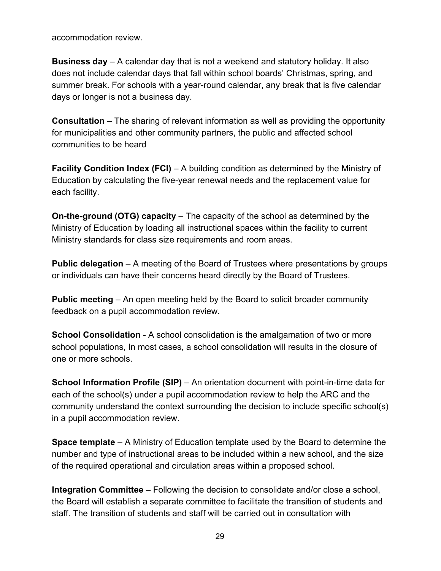accommodation review.

**Business day** – A calendar day that is not a weekend and statutory holiday. It also does not include calendar days that fall within school boards' Christmas, spring, and summer break. For schools with a year-round calendar, any break that is five calendar days or longer is not a business day.

**Consultation** – The sharing of relevant information as well as providing the opportunity for municipalities and other community partners, the public and affected school communities to be heard

**Facility Condition Index (FCI)** – A building condition as determined by the Ministry of Education by calculating the five-year renewal needs and the replacement value for each facility.

**On-the-ground (OTG) capacity** – The capacity of the school as determined by the Ministry of Education by loading all instructional spaces within the facility to current Ministry standards for class size requirements and room areas.

**Public delegation** – A meeting of the Board of Trustees where presentations by groups or individuals can have their concerns heard directly by the Board of Trustees.

**Public meeting** – An open meeting held by the Board to solicit broader community feedback on a pupil accommodation review.

**School Consolidation** - A school consolidation is the amalgamation of two or more school populations, In most cases, a school consolidation will results in the closure of one or more schools.

**School Information Profile (SIP)** – An orientation document with point-in-time data for each of the school(s) under a pupil accommodation review to help the ARC and the community understand the context surrounding the decision to include specific school(s) in a pupil accommodation review.

**Space template** – A Ministry of Education template used by the Board to determine the number and type of instructional areas to be included within a new school, and the size of the required operational and circulation areas within a proposed school.

**Integration Committee** – Following the decision to consolidate and/or close a school, the Board will establish a separate committee to facilitate the transition of students and staff. The transition of students and staff will be carried out in consultation with